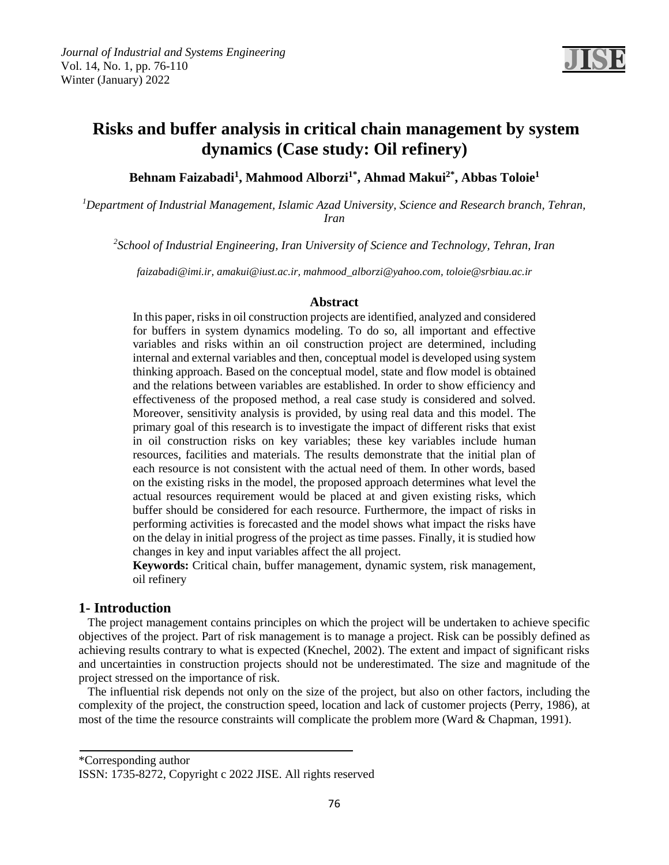

# **Risks and buffer analysis in critical chain management by system dynamics (Case study: Oil refinery)**

**Abbas Toloie<sup>1</sup> , Ahmad Makui2\* , Mahmood Alborzi1\* , Behnam Faizabadi<sup>1</sup>**

*<sup>1</sup>Department of Industrial Management, Islamic Azad University, Science and Research branch, Tehran, Iran*

*2 School of Industrial Engineering, Iran University of Science and Technology, Tehran, Iran*

*[faizabadi@imi.ir, amakui@iust.ac.ir, mahmood\\_alborzi@yahoo.com, toloie@srbiau.ac.ir](mailto:faizabadi@imi.ir)*

#### **Abstract**

In this paper, risks in oil construction projects are identified, analyzed and considered for buffers in system dynamics modeling. To do so, all important and effective variables and risks within an oil construction project are determined, including internal and external variables and then, conceptual model is developed using system thinking approach. Based on the conceptual model, state and flow model is obtained and the relations between variables are established. In order to show efficiency and effectiveness of the proposed method, a real case study is considered and solved. Moreover, sensitivity analysis is provided, by using real data and this model. The primary goal of this research is to investigate the impact of different risks that exist in oil construction risks on key variables; these key variables include human resources, facilities and materials. The results demonstrate that the initial plan of each resource is not consistent with the actual need of them. In other words, based on the existing risks in the model, the proposed approach determines what level the actual resources requirement would be placed at and given existing risks, which buffer should be considered for each resource. Furthermore, the impact of risks in performing activities is forecasted and the model shows what impact the risks have on the delay in initial progress of the project as time passes. Finally, it is studied how changes in key and input variables affect the all project.

**Keywords:** Critical chain, buffer management, dynamic system, risk management, oil refinery

## **1- Introduction**

 The project management contains principles on which the project will be undertaken to achieve specific objectives of the project. Part of risk management is to manage a project. Risk can be possibly defined as achieving results contrary to what is expected (Knechel, 2002). The extent and impact of significant risks and uncertainties in construction projects should not be underestimated. The size and magnitude of the project stressed on the importance of risk.

 The influential risk depends not only on the size of the project, but also on other factors, including the complexity of the project, the construction speed, location and lack of customer projects (Perry, 1986), at most of the time the resource constraints will complicate the problem more (Ward & Chapman, 1991).

\*Corresponding author

ISSN: 1735-8272, Copyright c 2022 JISE. All rights reserved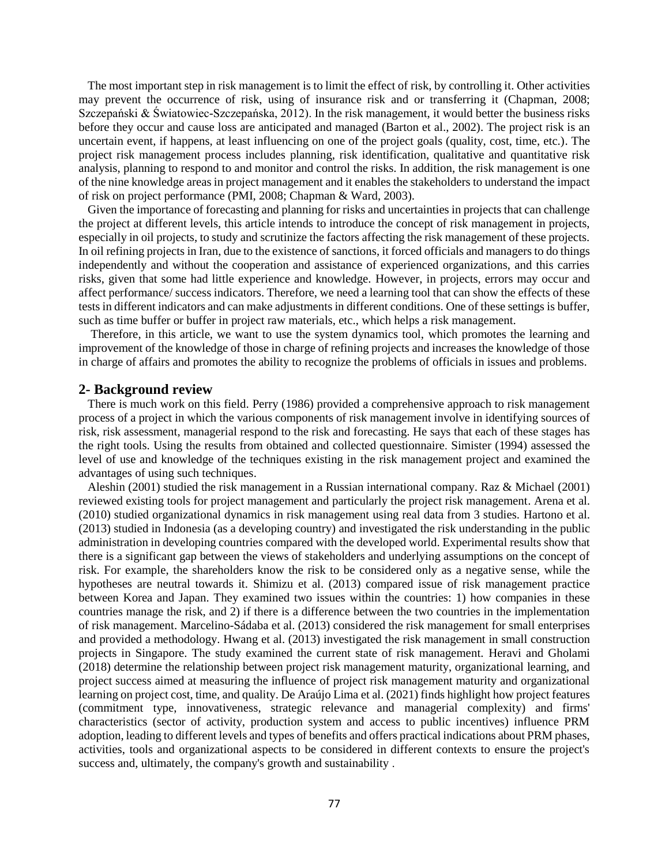The most important step in risk management is to limit the effect of risk, by controlling it. Other activities may prevent the occurrence of risk, using of insurance risk and or transferring it (Chapman, 2008; Szczepański & Światowiec-Szczepańska, 2012). In the risk management, it would better the business risks before they occur and cause loss are anticipated and managed (Barton et al., 2002). The project risk is an uncertain event, if happens, at least influencing on one of the project goals (quality, cost, time, etc.). The project risk management process includes planning, risk identification, qualitative and quantitative risk analysis, planning to respond to and monitor and control the risks. In addition, the risk management is one of the nine knowledge areas in project management and it enables the stakeholders to understand the impact of risk on project performance (PMI, 2008; Chapman & Ward, 2003).

 Given the importance of forecasting and planning for risks and uncertainties in projects that can challenge the project at different levels, this article intends to introduce the concept of risk management in projects, especially in oil projects, to study and scrutinize the factors affecting the risk management of these projects. In oil refining projects in Iran, due to the existence of sanctions, it forced officials and managers to do things independently and without the cooperation and assistance of experienced organizations, and this carries risks, given that some had little experience and knowledge. However, in projects, errors may occur and affect performance/ success indicators. Therefore, we need a learning tool that can show the effects of these tests in different indicators and can make adjustments in different conditions. One of these settings is buffer, such as time buffer or buffer in project raw materials, etc., which helps a risk management.

 Therefore, in this article, we want to use the system dynamics tool, which promotes the learning and improvement of the knowledge of those in charge of refining projects and increases the knowledge of those in charge of affairs and promotes the ability to recognize the problems of officials in issues and problems.

## **2- Background review**

 There is much work on this field. Perry (1986) provided a comprehensive approach to risk management process of a project in which the various components of risk management involve in identifying sources of risk, risk assessment, managerial respond to the risk and forecasting. He says that each of these stages has the right tools. Using the results from obtained and collected questionnaire. Simister (1994) assessed the level of use and knowledge of the techniques existing in the risk management project and examined the advantages of using such techniques.

 Aleshin (2001) studied the risk management in a Russian international company. Raz & Michael (2001) reviewed existing tools for project management and particularly the project risk management. Arena et al. (2010) studied organizational dynamics in risk management using real data from 3 studies. Hartono et al. (2013) studied in Indonesia (as a developing country) and investigated the risk understanding in the public administration in developing countries compared with the developed world. Experimental results show that there is a significant gap between the views of stakeholders and underlying assumptions on the concept of risk. For example, the shareholders know the risk to be considered only as a negative sense, while the hypotheses are neutral towards it. Shimizu et al. (2013) compared issue of risk management practice between Korea and Japan. They examined two issues within the countries: 1) how companies in these countries manage the risk, and 2) if there is a difference between the two countries in the implementation of risk management. Marcelino-Sádaba et al. (2013) considered the risk management for small enterprises and provided a methodology. Hwang et al. (2013) investigated the risk management in small construction projects in Singapore. The study examined the current state of risk management. Heravi and Gholami (2018) determine the relationship between project risk management maturity, organizational learning, and project success aimed at measuring the influence of project risk management maturity and organizational learning on project cost, time, and quality. De Araújo Lima et al. (2021) finds highlight how project features (commitment type, innovativeness, strategic relevance and managerial complexity) and firms' characteristics (sector of activity, production system and access to public incentives) influence PRM adoption, leading to different levels and types of benefits and offers practical indications about PRM phases, activities, tools and organizational aspects to be considered in different contexts to ensure the project's success and, ultimately, the company's growth and sustainability .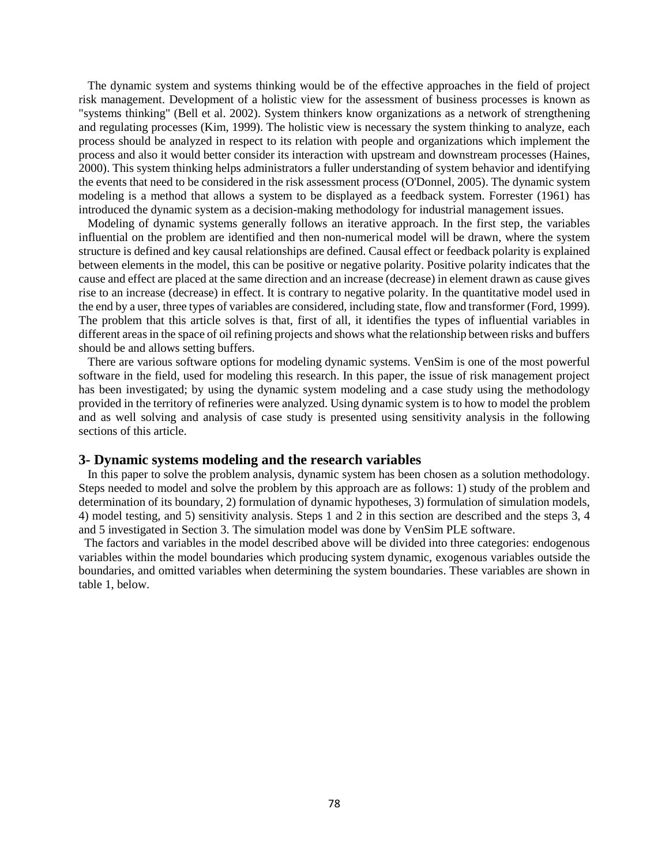The dynamic system and systems thinking would be of the effective approaches in the field of project risk management. Development of a holistic view for the assessment of business processes is known as "systems thinking" (Bell et al. 2002). System thinkers know organizations as a network of strengthening and regulating processes (Kim, 1999). The holistic view is necessary the system thinking to analyze, each process should be analyzed in respect to its relation with people and organizations which implement the process and also it would better consider its interaction with upstream and downstream processes (Haines, 2000). This system thinking helps administrators a fuller understanding of system behavior and identifying the events that need to be considered in the risk assessment process (O'Donnel, 2005). The dynamic system modeling is a method that allows a system to be displayed as a feedback system. Forrester (1961) has introduced the dynamic system as a decision-making methodology for industrial management issues.

 Modeling of dynamic systems generally follows an iterative approach. In the first step, the variables influential on the problem are identified and then non-numerical model will be drawn, where the system structure is defined and key causal relationships are defined. Causal effect or feedback polarity is explained between elements in the model, this can be positive or negative polarity. Positive polarity indicates that the cause and effect are placed at the same direction and an increase (decrease) in element drawn as cause gives rise to an increase (decrease) in effect. It is contrary to negative polarity. In the quantitative model used in the end by a user, three types of variables are considered, including state, flow and transformer (Ford, 1999). The problem that this article solves is that, first of all, it identifies the types of influential variables in different areas in the space of oil refining projects and shows what the relationship between risks and buffers should be and allows setting buffers.

 There are various software options for modeling dynamic systems. VenSim is one of the most powerful software in the field, used for modeling this research. In this paper, the issue of risk management project has been investigated; by using the dynamic system modeling and a case study using the methodology provided in the territory of refineries were analyzed. Using dynamic system is to how to model the problem and as well solving and analysis of case study is presented using sensitivity analysis in the following sections of this article.

### **3- Dynamic systems modeling and the research variables**

 In this paper to solve the problem analysis, dynamic system has been chosen as a solution methodology. Steps needed to model and solve the problem by this approach are as follows: 1) study of the problem and determination of its boundary, 2) formulation of dynamic hypotheses, 3) formulation of simulation models, 4) model testing, and 5) sensitivity analysis. Steps 1 and 2 in this section are described and the steps 3, 4 and 5 investigated in Section 3. The simulation model was done by VenSim PLE software.

The factors and variables in the model described above will be divided into three categories: endogenous variables within the model boundaries which producing system dynamic, exogenous variables outside the boundaries, and omitted variables when determining the system boundaries. These variables are shown in table 1, below.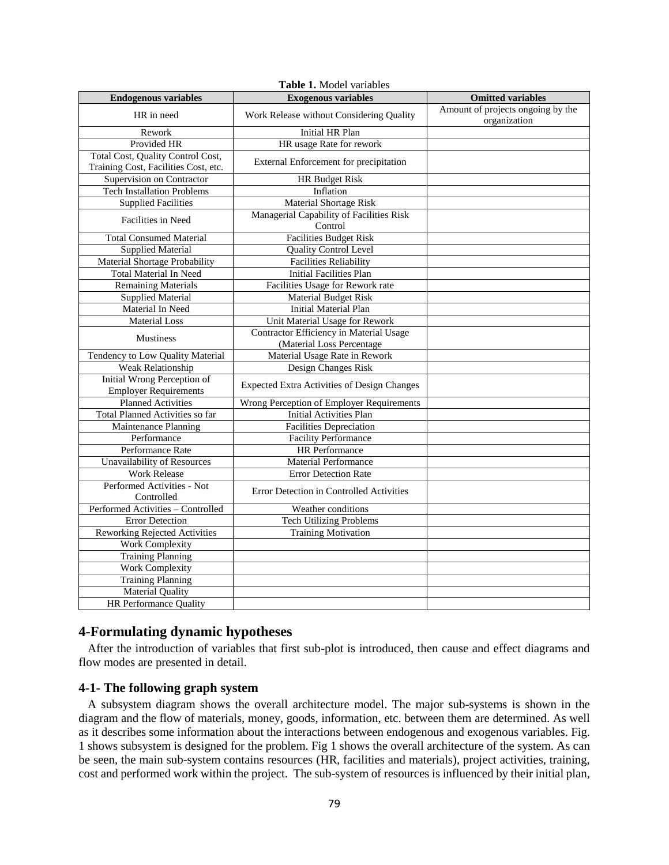| Table 1. Model variables                                                  |                                                                      |                                                   |  |  |  |  |
|---------------------------------------------------------------------------|----------------------------------------------------------------------|---------------------------------------------------|--|--|--|--|
| <b>Endogenous variables</b>                                               | <b>Exogenous variables</b>                                           | <b>Omitted variables</b>                          |  |  |  |  |
| HR in need                                                                | Work Release without Considering Quality                             | Amount of projects ongoing by the<br>organization |  |  |  |  |
| Rework                                                                    | <b>Initial HR Plan</b>                                               |                                                   |  |  |  |  |
| Provided HR                                                               | HR usage Rate for rework                                             |                                                   |  |  |  |  |
| Total Cost, Quality Control Cost,<br>Training Cost, Facilities Cost, etc. | External Enforcement for precipitation                               |                                                   |  |  |  |  |
| Supervision on Contractor                                                 | <b>HR Budget Risk</b>                                                |                                                   |  |  |  |  |
| <b>Tech Installation Problems</b>                                         | Inflation                                                            |                                                   |  |  |  |  |
| <b>Supplied Facilities</b>                                                | <b>Material Shortage Risk</b>                                        |                                                   |  |  |  |  |
| Facilities in Need                                                        | Managerial Capability of Facilities Risk<br>Control                  |                                                   |  |  |  |  |
| <b>Total Consumed Material</b>                                            | <b>Facilities Budget Risk</b>                                        |                                                   |  |  |  |  |
| <b>Supplied Material</b>                                                  | <b>Quality Control Level</b>                                         |                                                   |  |  |  |  |
| Material Shortage Probability                                             | <b>Facilities Reliability</b>                                        |                                                   |  |  |  |  |
| <b>Total Material In Need</b>                                             | <b>Initial Facilities Plan</b>                                       |                                                   |  |  |  |  |
| <b>Remaining Materials</b>                                                | Facilities Usage for Rework rate                                     |                                                   |  |  |  |  |
| <b>Supplied Material</b>                                                  | <b>Material Budget Risk</b>                                          |                                                   |  |  |  |  |
| Material In Need                                                          | <b>Initial Material Plan</b>                                         |                                                   |  |  |  |  |
| <b>Material Loss</b>                                                      | Unit Material Usage for Rework                                       |                                                   |  |  |  |  |
| <b>Mustiness</b>                                                          | Contractor Efficiency in Material Usage<br>(Material Loss Percentage |                                                   |  |  |  |  |
| Tendency to Low Quality Material                                          | Material Usage Rate in Rework                                        |                                                   |  |  |  |  |
| <b>Weak Relationship</b>                                                  | Design Changes Risk                                                  |                                                   |  |  |  |  |
| Initial Wrong Perception of<br><b>Employer Requirements</b>               | <b>Expected Extra Activities of Design Changes</b>                   |                                                   |  |  |  |  |
| <b>Planned Activities</b>                                                 | Wrong Perception of Employer Requirements                            |                                                   |  |  |  |  |
| <b>Total Planned Activities so far</b>                                    | <b>Initial Activities Plan</b>                                       |                                                   |  |  |  |  |
| Maintenance Planning                                                      | <b>Facilities Depreciation</b>                                       |                                                   |  |  |  |  |
| Performance                                                               | <b>Facility Performance</b>                                          |                                                   |  |  |  |  |
| Performance Rate                                                          | <b>HR</b> Performance                                                |                                                   |  |  |  |  |
| <b>Unavailability of Resources</b>                                        | <b>Material Performance</b>                                          |                                                   |  |  |  |  |
| <b>Work Release</b>                                                       | <b>Error Detection Rate</b>                                          |                                                   |  |  |  |  |
| Performed Activities - Not<br>Controlled                                  | Error Detection in Controlled Activities                             |                                                   |  |  |  |  |
| Performed Activities - Controlled                                         | Weather conditions                                                   |                                                   |  |  |  |  |
| <b>Error Detection</b>                                                    | <b>Tech Utilizing Problems</b>                                       |                                                   |  |  |  |  |
| <b>Reworking Rejected Activities</b>                                      | <b>Training Motivation</b>                                           |                                                   |  |  |  |  |
| Work Complexity                                                           |                                                                      |                                                   |  |  |  |  |
| <b>Training Planning</b>                                                  |                                                                      |                                                   |  |  |  |  |
| <b>Work Complexity</b>                                                    |                                                                      |                                                   |  |  |  |  |
| <b>Training Planning</b>                                                  |                                                                      |                                                   |  |  |  |  |
| <b>Material Quality</b>                                                   |                                                                      |                                                   |  |  |  |  |
| HR Performance Quality                                                    |                                                                      |                                                   |  |  |  |  |
|                                                                           |                                                                      |                                                   |  |  |  |  |

## **4-Formulating dynamic hypotheses**

 After the introduction of variables that first sub-plot is introduced, then cause and effect diagrams and flow modes are presented in detail.

## **4-1- The following graph system**

 A subsystem diagram shows the overall architecture model. The major sub-systems is shown in the diagram and the flow of materials, money, goods, information, etc. between them are determined. As well as it describes some information about the interactions between endogenous and exogenous variables. Fig. 1 shows subsystem is designed for the problem. Fig 1 shows the overall architecture of the system. As can be seen, the main sub-system contains resources (HR, facilities and materials), project activities, training, cost and performed work within the project. The sub-system of resources is influenced by their initial plan,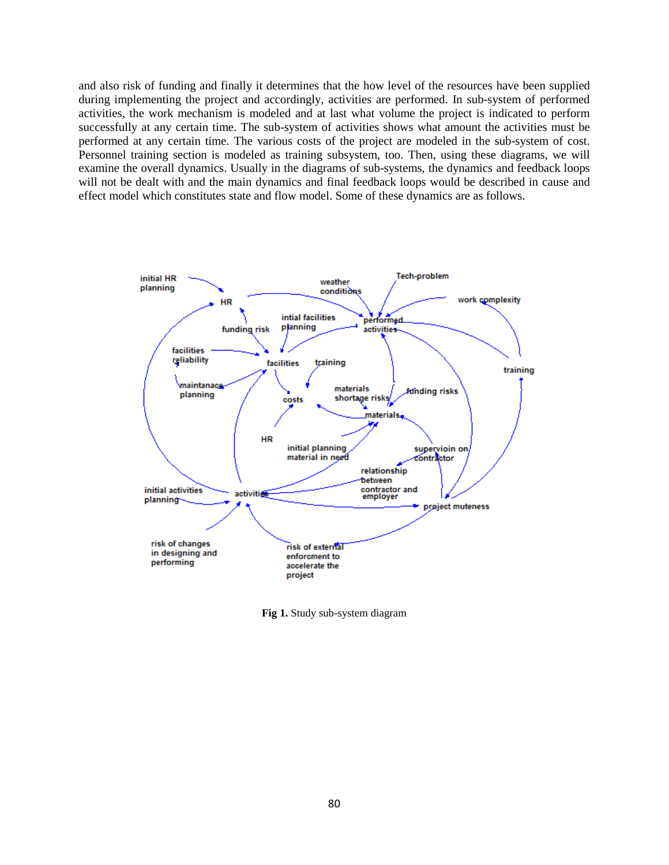and also risk of funding and finally it determines that the how level of the resources have been supplied during implementing the project and accordingly, activities are performed. In sub-system of performed activities, the work mechanism is modeled and at last what volume the project is indicated to perform successfully at any certain time. The sub-system of activities shows what amount the activities must be performed at any certain time. The various costs of the project are modeled in the sub-system of cost. Personnel training section is modeled as training subsystem, too. Then, using these diagrams, we will examine the overall dynamics. Usually in the diagrams of sub-systems, the dynamics and feedback loops will not be dealt with and the main dynamics and final feedback loops would be described in cause and effect model which constitutes state and flow model. Some of these dynamics are as follows.



**Fig 1.** Study sub-system diagram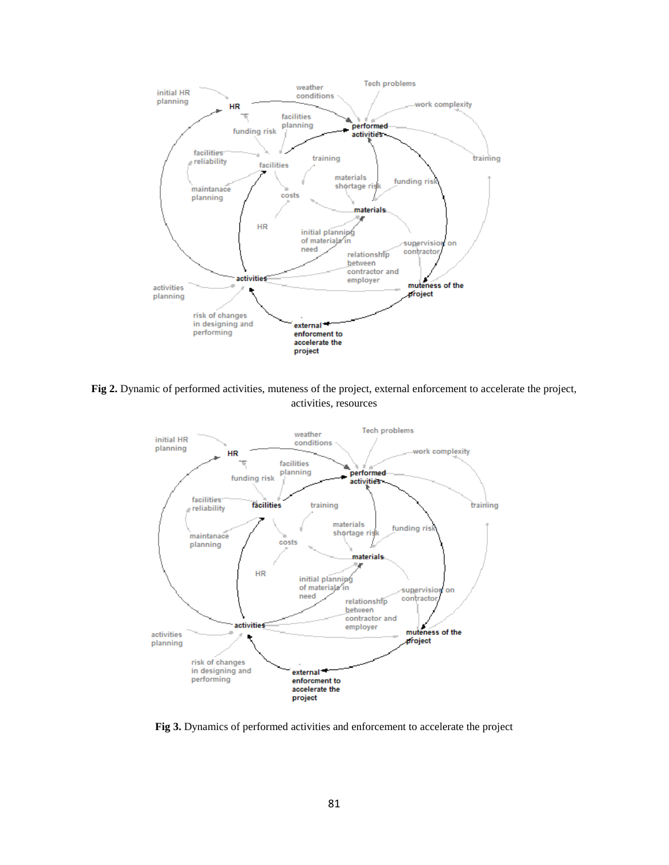

**Fig 2.** Dynamic of performed activities, muteness of the project, external enforcement to accelerate the project, activities, resources



**Fig 3.** Dynamics of performed activities and enforcement to accelerate the project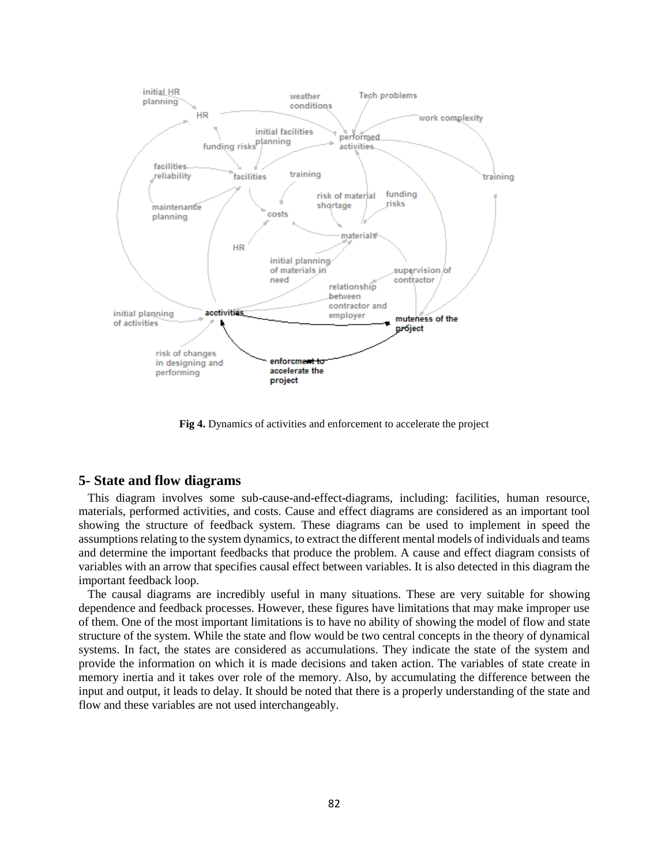

**Fig 4.** Dynamics of activities and enforcement to accelerate the project

## **5- State and flow diagrams**

 This diagram involves some sub-cause-and-effect-diagrams, including: facilities, human resource, materials, performed activities, and costs. Cause and effect diagrams are considered as an important tool showing the structure of feedback system. These diagrams can be used to implement in speed the assumptions relating to the system dynamics, to extract the different mental models of individuals and teams and determine the important feedbacks that produce the problem. A cause and effect diagram consists of variables with an arrow that specifies causal effect between variables. It is also detected in this diagram the important feedback loop.

 The causal diagrams are incredibly useful in many situations. These are very suitable for showing dependence and feedback processes. However, these figures have limitations that may make improper use of them. One of the most important limitations is to have no ability of showing the model of flow and state structure of the system. While the state and flow would be two central concepts in the theory of dynamical systems. In fact, the states are considered as accumulations. They indicate the state of the system and provide the information on which it is made decisions and taken action. The variables of state create in memory inertia and it takes over role of the memory. Also, by accumulating the difference between the input and output, it leads to delay. It should be noted that there is a properly understanding of the state and flow and these variables are not used interchangeably.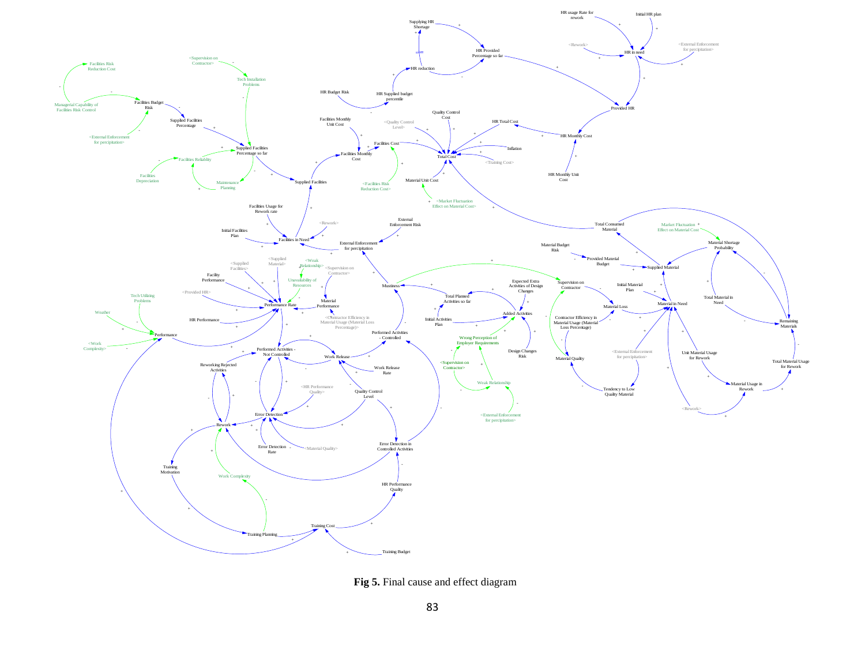

**Fig 5.** Final cause and effect diagram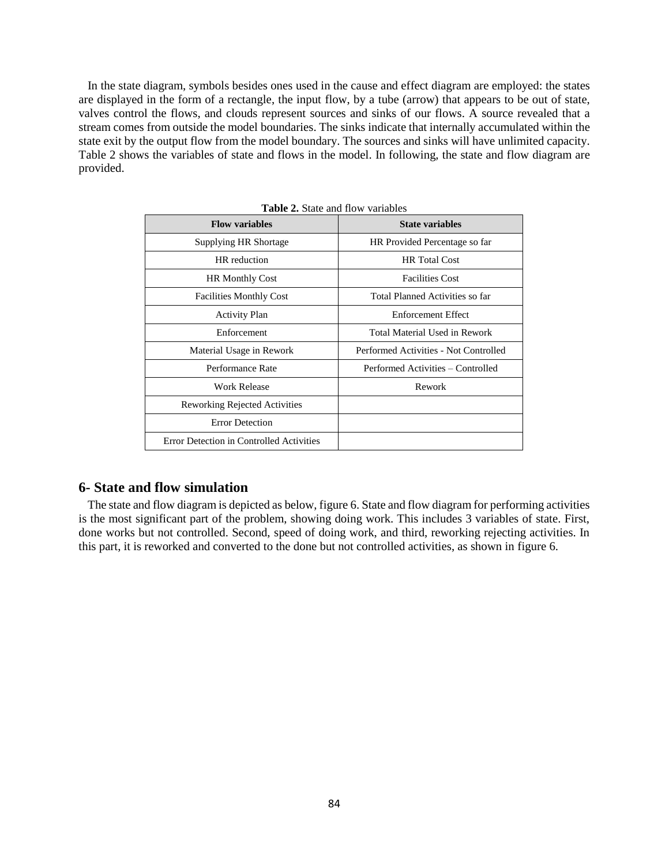In the state diagram, symbols besides ones used in the cause and effect diagram are employed: the states are displayed in the form of a rectangle, the input flow, by a tube (arrow) that appears to be out of state, valves control the flows, and clouds represent sources and sinks of our flows. A source revealed that a stream comes from outside the model boundaries. The sinks indicate that internally accumulated within the state exit by the output flow from the model boundary. The sources and sinks will have unlimited capacity. Table 2 shows the variables of state and flows in the model. In following, the state and flow diagram are provided.

| <b>Table 2.</b> Blaic and HOW variables  |                                       |  |  |  |
|------------------------------------------|---------------------------------------|--|--|--|
| <b>Flow variables</b>                    | <b>State variables</b>                |  |  |  |
| Supplying HR Shortage                    | HR Provided Percentage so far         |  |  |  |
| HR reduction                             | <b>HR</b> Total Cost                  |  |  |  |
| <b>HR Monthly Cost</b>                   | <b>Facilities Cost</b>                |  |  |  |
| <b>Facilities Monthly Cost</b>           | Total Planned Activities so far       |  |  |  |
| <b>Activity Plan</b>                     | <b>Enforcement Effect</b>             |  |  |  |
| Enforcement                              | Total Material Used in Rework         |  |  |  |
| Material Usage in Rework                 | Performed Activities - Not Controlled |  |  |  |
| Performance Rate                         | Performed Activities – Controlled     |  |  |  |
| Work Release                             | Rework                                |  |  |  |
| Reworking Rejected Activities            |                                       |  |  |  |
| <b>Error Detection</b>                   |                                       |  |  |  |
| Error Detection in Controlled Activities |                                       |  |  |  |

**Table 2.** State and flow variables

## **6- State and flow simulation**

 The state and flow diagram is depicted as below, figure 6. State and flow diagram for performing activities is the most significant part of the problem, showing doing work. This includes 3 variables of state. First, done works but not controlled. Second, speed of doing work, and third, reworking rejecting activities. In this part, it is reworked and converted to the done but not controlled activities, as shown in figure 6.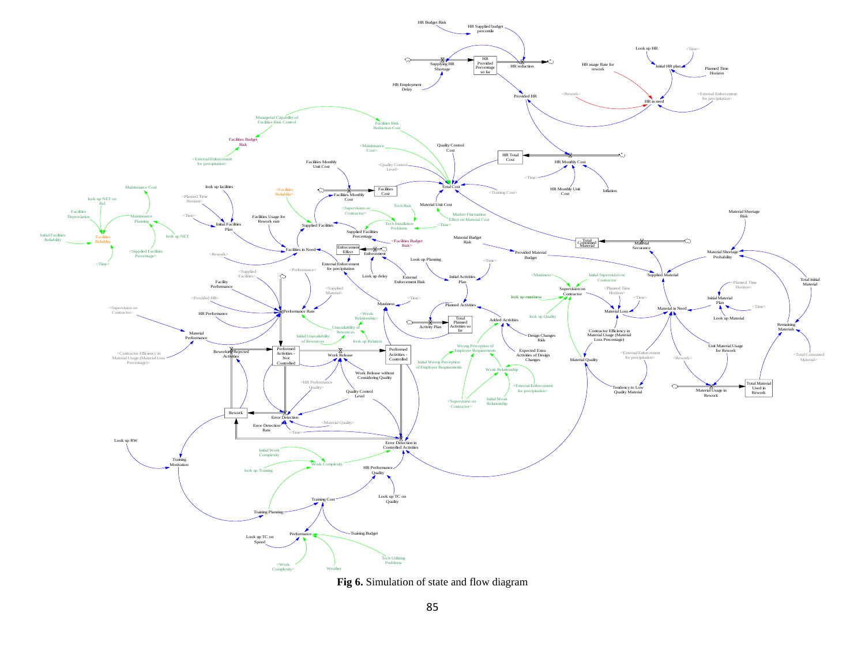

**Fig 6.** Simulation of state and flow diagram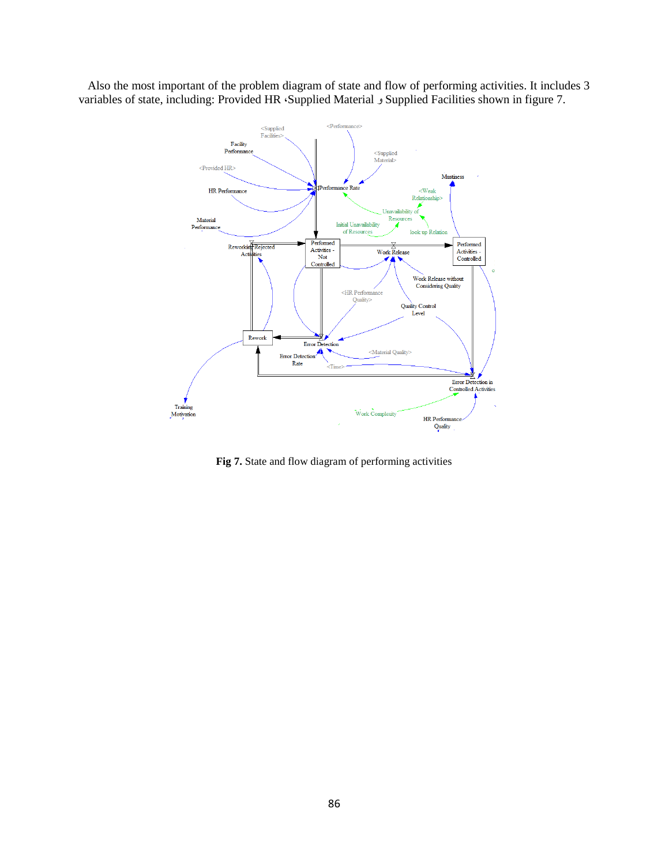Also the most important of the problem diagram of state and flow of performing activities. It includes 3 variables of state, including: Provided HR ،Supplied Material و Supplied Facilities shown in figure 7.



**Fig 7.** State and flow diagram of performing activities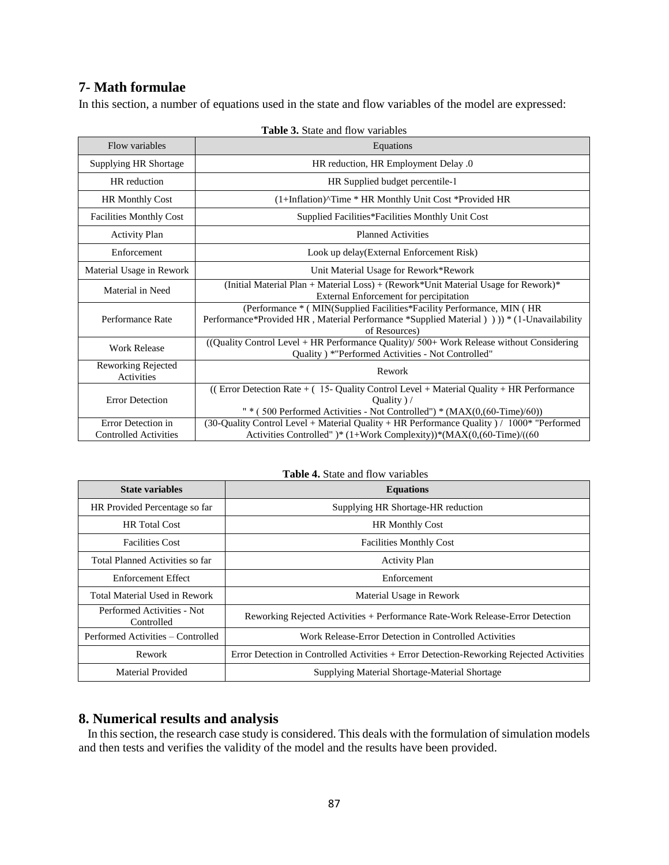# **7- Math formulae**

In this section, a number of equations used in the state and flow variables of the model are expressed:

| Flow variables                                     | Equations                                                                                                                                                                                 |  |  |  |
|----------------------------------------------------|-------------------------------------------------------------------------------------------------------------------------------------------------------------------------------------------|--|--|--|
| Supplying HR Shortage                              | HR reduction, HR Employment Delay .0                                                                                                                                                      |  |  |  |
| HR reduction                                       | HR Supplied budget percentile-1                                                                                                                                                           |  |  |  |
| <b>HR Monthly Cost</b>                             | (1+Inflation)^Time * HR Monthly Unit Cost *Provided HR                                                                                                                                    |  |  |  |
| <b>Facilities Monthly Cost</b>                     | Supplied Facilities*Facilities Monthly Unit Cost                                                                                                                                          |  |  |  |
| <b>Activity Plan</b>                               | <b>Planned Activities</b>                                                                                                                                                                 |  |  |  |
| Enforcement                                        | Look up delay(External Enforcement Risk)                                                                                                                                                  |  |  |  |
| Material Usage in Rework                           | Unit Material Usage for Rework*Rework                                                                                                                                                     |  |  |  |
| Material in Need                                   | (Initial Material Plan + Material Loss) + (Rework*Unit Material Usage for Rework)*<br>External Enforcement for percipitation                                                              |  |  |  |
| Performance Rate                                   | (Performance * (MIN(Supplied Facilities*Facility Performance, MIN (HR)<br>Performance*Provided HR, Material Performance *Supplied Material () ()) * (1-Unavailability<br>of Resources)    |  |  |  |
| <b>Work Release</b>                                | ((Quality Control Level + HR Performance Quality)/ 500+ Work Release without Considering<br>Quality) *"Performed Activities - Not Controlled"                                             |  |  |  |
| Reworking Rejected<br>Activities                   | Rework                                                                                                                                                                                    |  |  |  |
| <b>Error Detection</b>                             | ((Error Detection Rate $+$ (15- Quality Control Level $+$ Material Quality $+$ HR Performance<br>Quality $)/$<br>" * (500 Performed Activities - Not Controlled") * (MAX(0,(60-Time)/60)) |  |  |  |
| Error Detection in<br><b>Controlled Activities</b> | (30-Quality Control Level + Material Quality + HR Performance Quality ) / 1000* "Performed<br>Activities Controlled" )* (1+Work Complexity))*(MAX(0,(60-Time)/((60                        |  |  |  |

|  |  |  |  | <b>Table 3.</b> State and flow variables |
|--|--|--|--|------------------------------------------|
|--|--|--|--|------------------------------------------|

| <b>Table 4.</b> State and flow variables |  |  |  |  |  |
|------------------------------------------|--|--|--|--|--|
|------------------------------------------|--|--|--|--|--|

| <b>State variables</b>                   | <b>Equations</b>                                                                         |  |
|------------------------------------------|------------------------------------------------------------------------------------------|--|
| HR Provided Percentage so far            | Supplying HR Shortage-HR reduction                                                       |  |
| <b>HR</b> Total Cost                     | <b>HR Monthly Cost</b>                                                                   |  |
| <b>Facilities Cost</b>                   | <b>Facilities Monthly Cost</b>                                                           |  |
| Total Planned Activities so far          | <b>Activity Plan</b>                                                                     |  |
| Enforcement Effect                       | Enforcement                                                                              |  |
| Total Material Used in Rework            | Material Usage in Rework                                                                 |  |
| Performed Activities - Not<br>Controlled | Reworking Rejected Activities + Performance Rate-Work Release-Error Detection            |  |
| Performed Activities – Controlled        | Work Release-Error Detection in Controlled Activities                                    |  |
| Rework                                   | Error Detection in Controlled Activities + Error Detection-Reworking Rejected Activities |  |
| Material Provided                        | Supplying Material Shortage-Material Shortage                                            |  |

# **8. Numerical results and analysis**

 In this section, the research case study is considered. This deals with the formulation of simulation models and then tests and verifies the validity of the model and the results have been provided.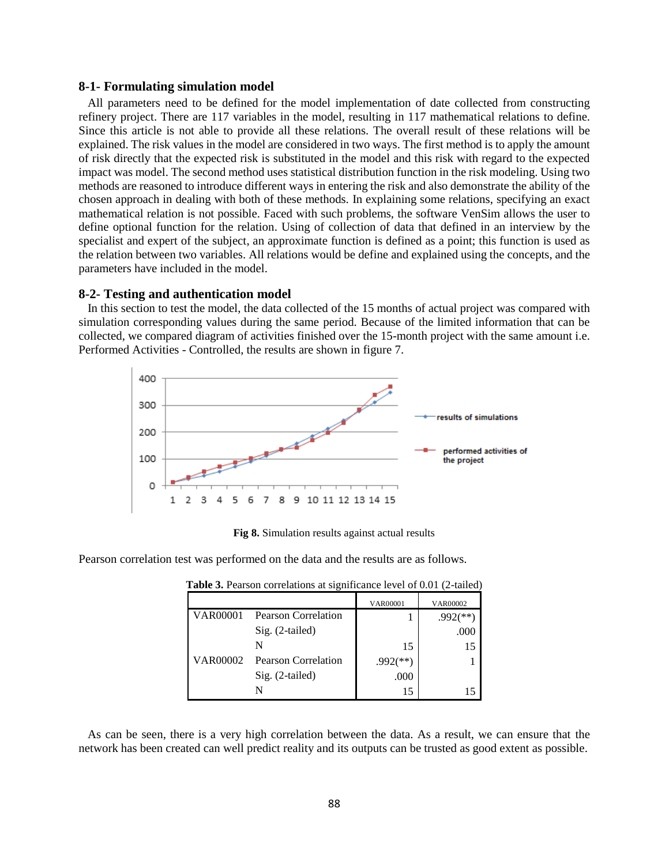#### **8-1- Formulating simulation model**

 All parameters need to be defined for the model implementation of date collected from constructing refinery project. There are 117 variables in the model, resulting in 117 mathematical relations to define. Since this article is not able to provide all these relations. The overall result of these relations will be explained. The risk values in the model are considered in two ways. The first method is to apply the amount of risk directly that the expected risk is substituted in the model and this risk with regard to the expected impact was model. The second method uses statistical distribution function in the risk modeling. Using two methods are reasoned to introduce different ways in entering the risk and also demonstrate the ability of the chosen approach in dealing with both of these methods. In explaining some relations, specifying an exact mathematical relation is not possible. Faced with such problems, the software VenSim allows the user to define optional function for the relation. Using of collection of data that defined in an interview by the specialist and expert of the subject, an approximate function is defined as a point; this function is used as the relation between two variables. All relations would be define and explained using the concepts, and the parameters have included in the model.

## **8-2- Testing and authentication model**

 In this section to test the model, the data collected of the 15 months of actual project was compared with simulation corresponding values during the same period. Because of the limited information that can be collected, we compared diagram of activities finished over the 15-month project with the same amount i.e. Performed Activities - Controlled, the results are shown in figure 7.



**Fig 8.** Simulation results against actual results

Pearson correlation test was performed on the data and the results are as follows.

|          |                            | <b>VAR00001</b>          | VAR00002    |
|----------|----------------------------|--------------------------|-------------|
| VAR00001 | <b>Pearson Correlation</b> |                          | ′**<br>.992 |
|          | $Sig. (2-tailed)$          |                          | .000        |
|          | N                          | 15                       | 15          |
| VAR00002 | Pearson Correlation        | $.992$ <sup>(**)</sup> ) |             |
|          | Sig. (2-tailed)            | .000                     |             |
|          | N                          | 15                       |             |

**Table 3.** Pearson correlations at significance level of 0.01 (2-tailed)

 As can be seen, there is a very high correlation between the data. As a result, we can ensure that the network has been created can well predict reality and its outputs can be trusted as good extent as possible.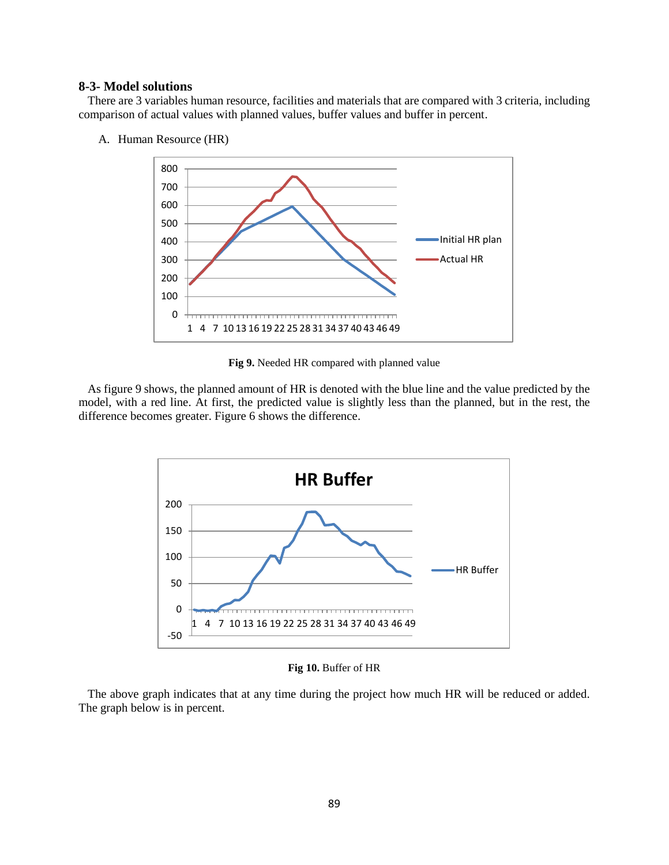## **8-3- Model solutions**

 There are 3 variables human resource, facilities and materials that are compared with 3 criteria, including comparison of actual values with planned values, buffer values and buffer in percent.



A. Human Resource (HR)

**Fig 9.** Needed HR compared with planned value

 As figure 9 shows, the planned amount of HR is denoted with the blue line and the value predicted by the model, with a red line. At first, the predicted value is slightly less than the planned, but in the rest, the difference becomes greater. Figure 6 shows the difference.



**Fig 10.** Buffer of HR

 The above graph indicates that at any time during the project how much HR will be reduced or added. The graph below is in percent.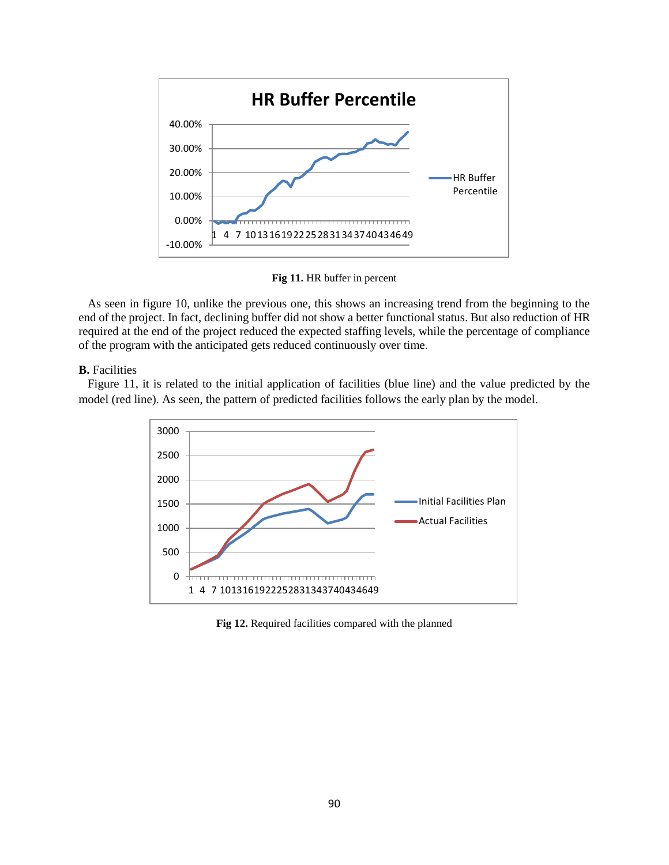

**Fig 11.** HR buffer in percent

 As seen in figure 10, unlike the previous one, this shows an increasing trend from the beginning to the end of the project. In fact, declining buffer did not show a better functional status. But also reduction of HR required at the end of the project reduced the expected staffing levels, while the percentage of compliance of the program with the anticipated gets reduced continuously over time.

#### **B.** Facilities

 Figure 11, it is related to the initial application of facilities (blue line) and the value predicted by the model (red line). As seen, the pattern of predicted facilities follows the early plan by the model.



**Fig 12.** Required facilities compared with the planned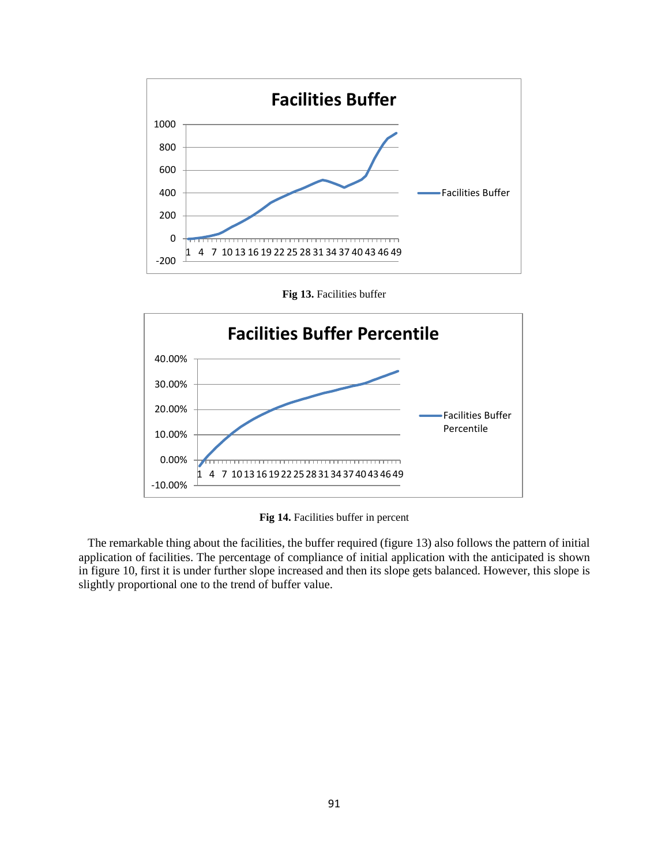

**Fig 13.** Facilities buffer



**Fig 14.** Facilities buffer in percent

 The remarkable thing about the facilities, the buffer required (figure 13) also follows the pattern of initial application of facilities. The percentage of compliance of initial application with the anticipated is shown in figure 10, first it is under further slope increased and then its slope gets balanced. However, this slope is slightly proportional one to the trend of buffer value.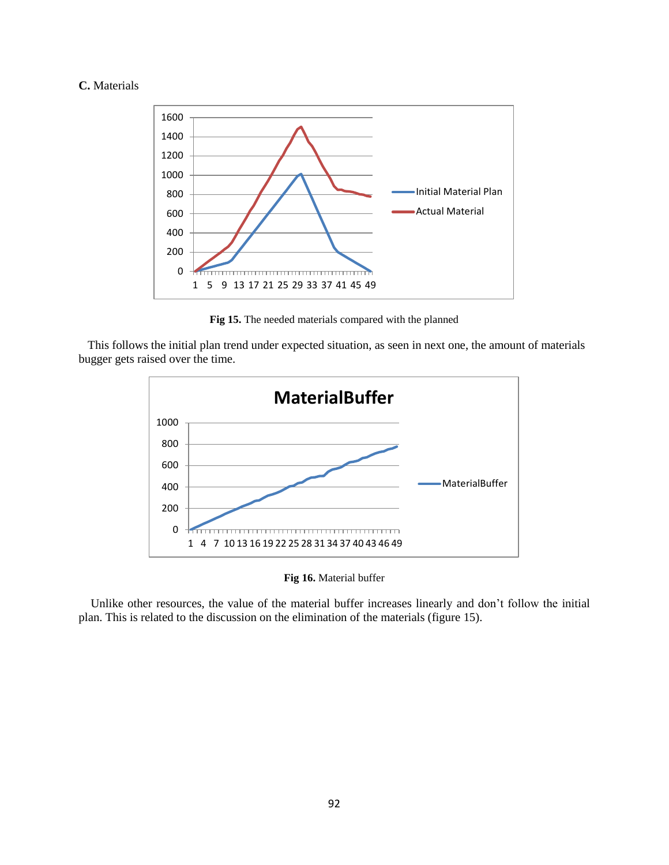## **C.** Materials



**Fig 15.** The needed materials compared with the planned

 This follows the initial plan trend under expected situation, as seen in next one, the amount of materials bugger gets raised over the time.



**Fig 16.** Material buffer

 Unlike other resources, the value of the material buffer increases linearly and don't follow the initial plan. This is related to the discussion on the elimination of the materials (figure 15).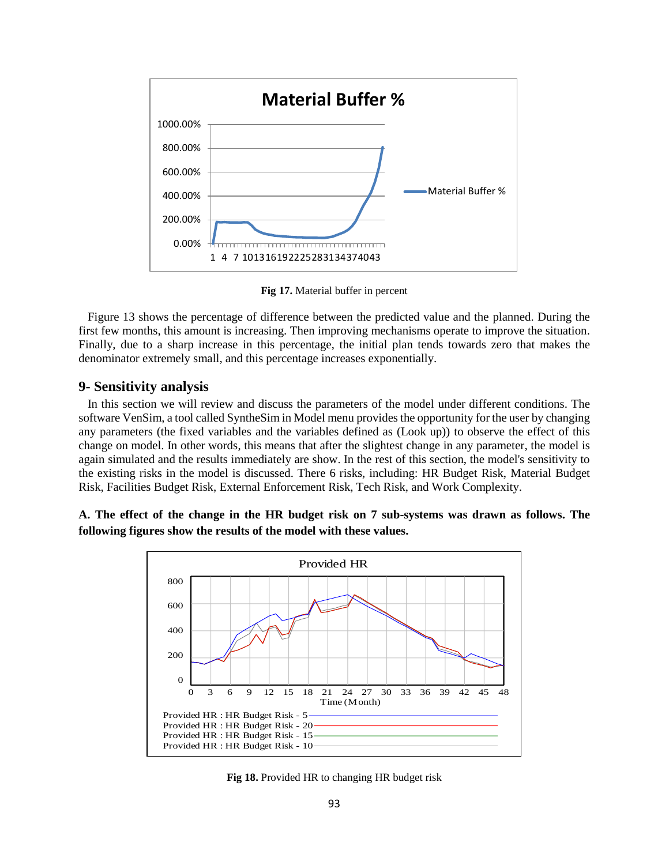

**Fig 17.** Material buffer in percent

 Figure 13 shows the percentage of difference between the predicted value and the planned. During the first few months, this amount is increasing. Then improving mechanisms operate to improve the situation. Finally, due to a sharp increase in this percentage, the initial plan tends towards zero that makes the denominator extremely small, and this percentage increases exponentially.

## **9- Sensitivity analysis**

 In this section we will review and discuss the parameters of the model under different conditions. The software VenSim, a tool called SyntheSim in Model menu provides the opportunity for the user by changing any parameters (the fixed variables and the variables defined as (Look up)) to observe the effect of this change on model. In other words, this means that after the slightest change in any parameter, the model is again simulated and the results immediately are show. In the rest of this section, the model's sensitivity to the existing risks in the model is discussed. There 6 risks, including: HR Budget Risk, Material Budget Risk, Facilities Budget Risk, External Enforcement Risk, Tech Risk, and Work Complexity.

## **A. The effect of the change in the HR budget risk on 7 sub-systems was drawn as follows. The following figures show the results of the model with these values.**



**Fig 18.** Provided HR to changing HR budget risk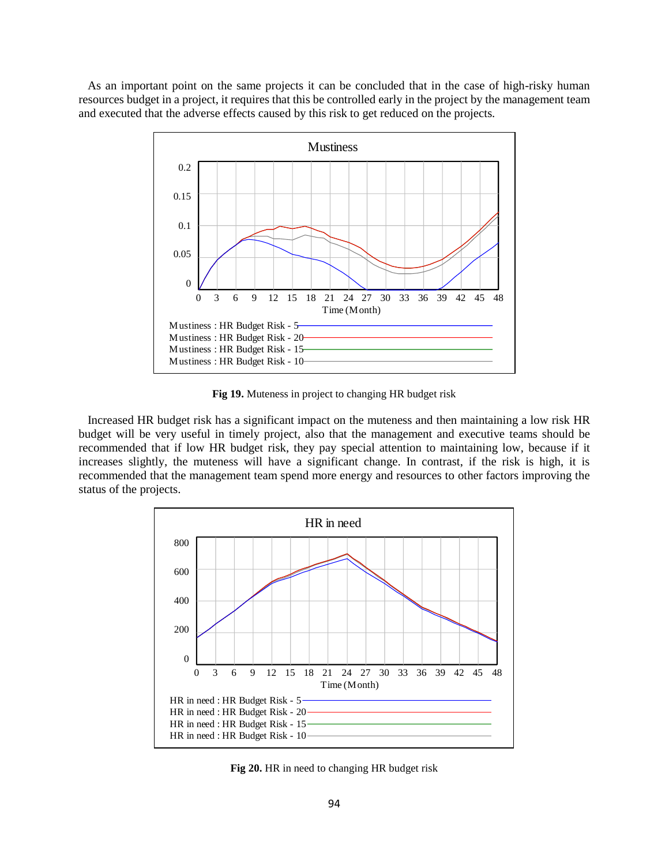As an important point on the same projects it can be concluded that in the case of high-risky human resources budget in a project, it requires that this be controlled early in the project by the management team and executed that the adverse effects caused by this risk to get reduced on the projects.



**Fig 19.** Muteness in project to changing HR budget risk

 Increased HR budget risk has a significant impact on the muteness and then maintaining a low risk HR budget will be very useful in timely project, also that the management and executive teams should be recommended that if low HR budget risk, they pay special attention to maintaining low, because if it increases slightly, the muteness will have a significant change. In contrast, if the risk is high, it is recommended that the management team spend more energy and resources to other factors improving the status of the projects.



**Fig 20.** HR in need to changing HR budget risk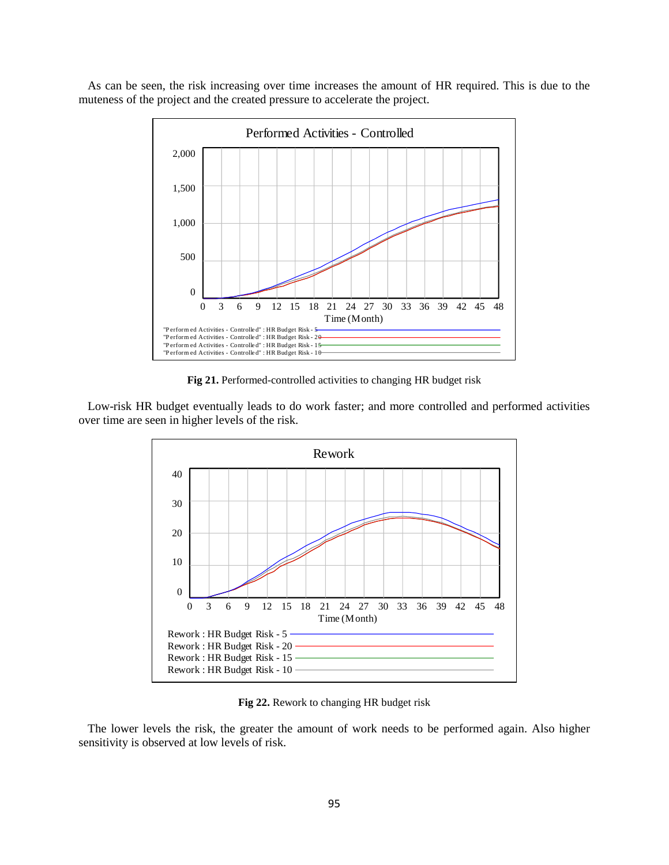As can be seen, the risk increasing over time increases the amount of HR required. This is due to the muteness of the project and the created pressure to accelerate the project.



**Fig 21.** Performed-controlled activities to changing HR budget risk

 Low-risk HR budget eventually leads to do work faster; and more controlled and performed activities over time are seen in higher levels of the risk.



**Fig 22.** Rework to changing HR budget risk

 The lower levels the risk, the greater the amount of work needs to be performed again. Also higher sensitivity is observed at low levels of risk.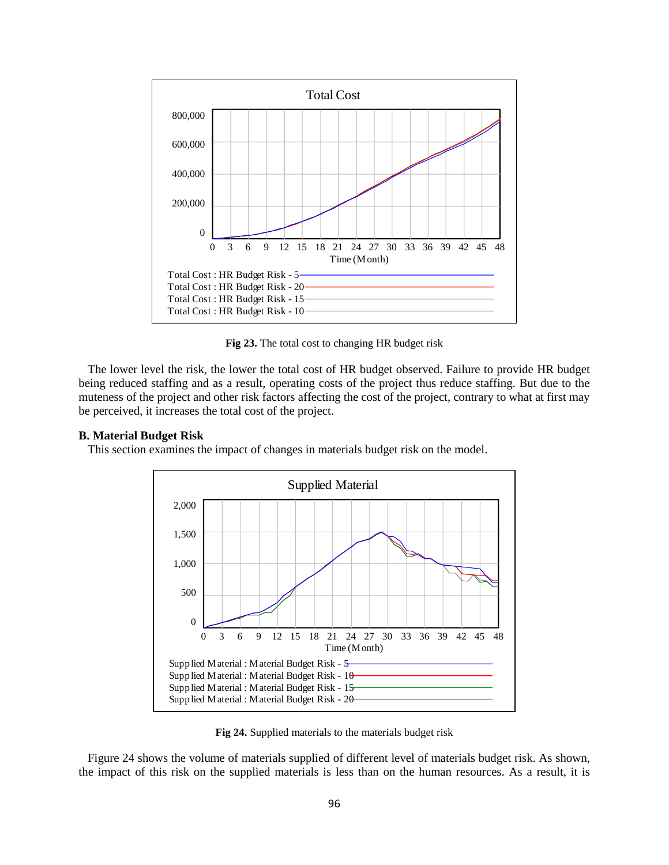

**Fig 23.** The total cost to changing HR budget risk

 The lower level the risk, the lower the total cost of HR budget observed. Failure to provide HR budget being reduced staffing and as a result, operating costs of the project thus reduce staffing. But due to the muteness of the project and other risk factors affecting the cost of the project, contrary to what at first may be perceived, it increases the total cost of the project.

#### **B. Material Budget Risk**

This section examines the impact of changes in materials budget risk on the model.



**Fig 24.** Supplied materials to the materials budget risk

 Figure 24 shows the volume of materials supplied of different level of materials budget risk. As shown, the impact of this risk on the supplied materials is less than on the human resources. As a result, it is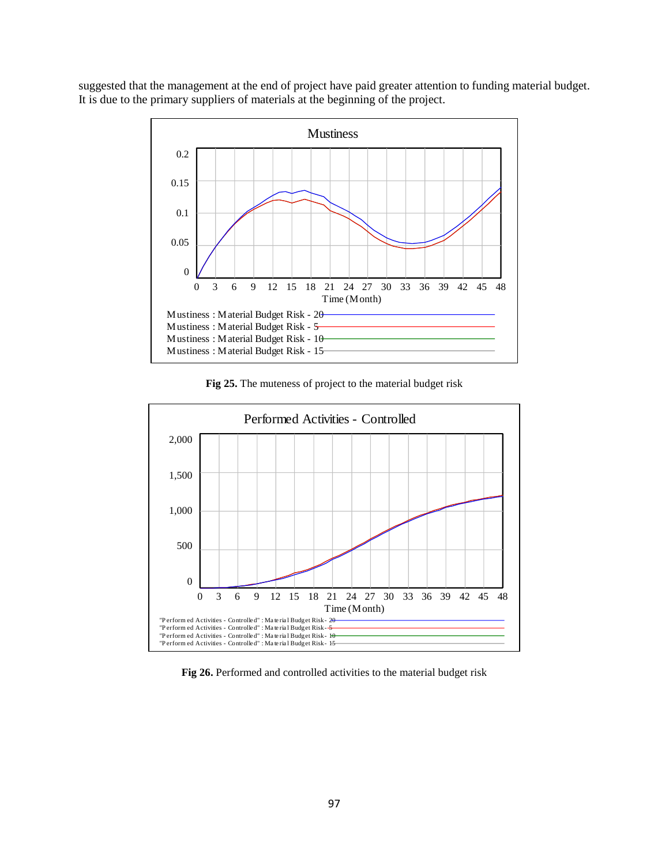suggested that the management at the end of project have paid greater attention to funding material budget. It is due to the primary suppliers of materials at the beginning of the project.



**Fig 25.** The muteness of project to the material budget risk



**Fig 26.** Performed and controlled activities to the material budget risk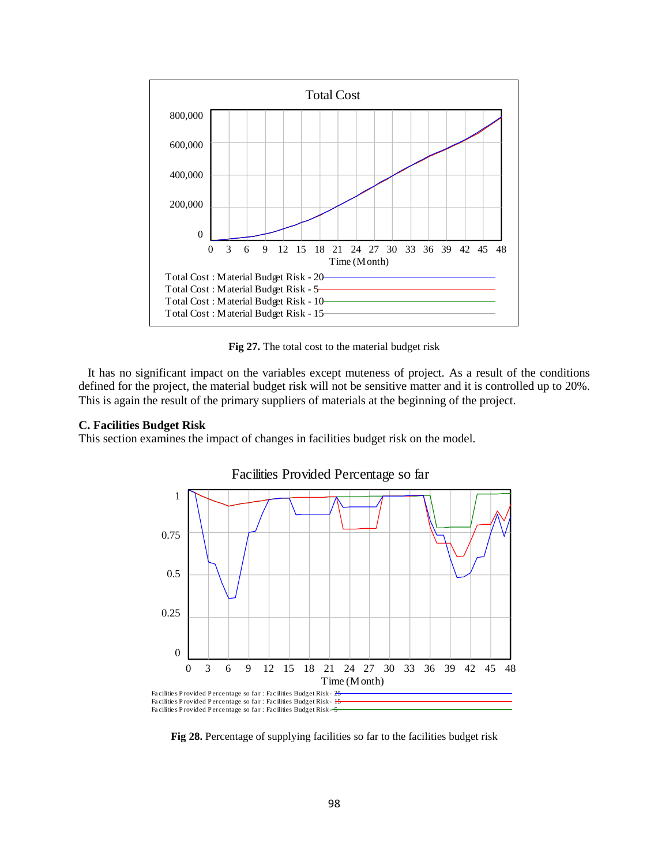

**Fig 27.** The total cost to the material budget risk

 It has no significant impact on the variables except muteness of project. As a result of the conditions defined for the project, the material budget risk will not be sensitive matter and it is controlled up to 20%. This is again the result of the primary suppliers of materials at the beginning of the project.

#### **C. Facilities Budget Risk**

This section examines the impact of changes in facilities budget risk on the model.



Facilities Provided Percentage so far

**Fig 28.** Percentage of supplying facilities so far to the facilities budget risk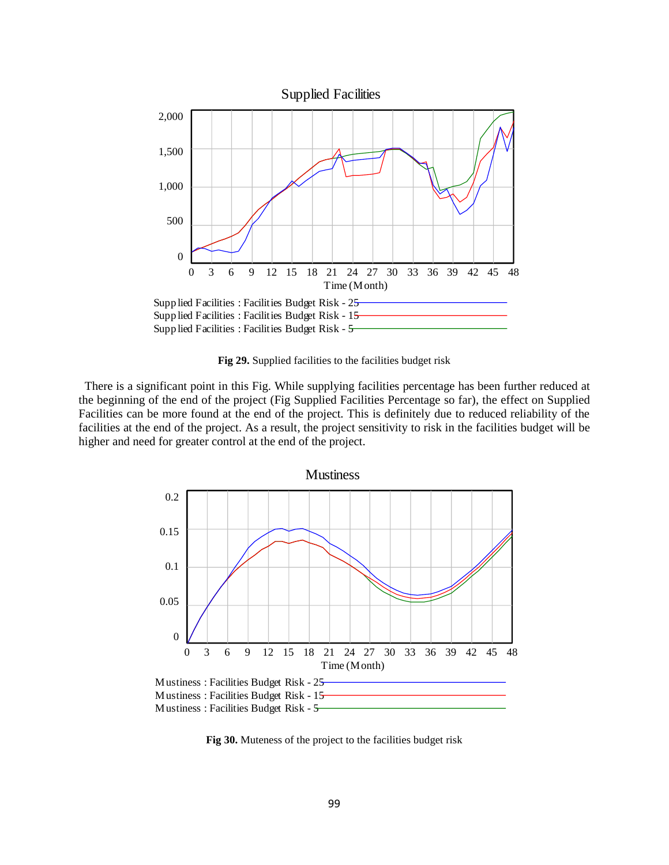

**Fig 29.** Supplied facilities to the facilities budget risk

 There is a significant point in this Fig. While supplying facilities percentage has been further reduced at the beginning of the end of the project (Fig Supplied Facilities Percentage so far), the effect on Supplied Facilities can be more found at the end of the project. This is definitely due to reduced reliability of the facilities at the end of the project. As a result, the project sensitivity to risk in the facilities budget will be higher and need for greater control at the end of the project.



**Fig 30.** Muteness of the project to the facilities budget risk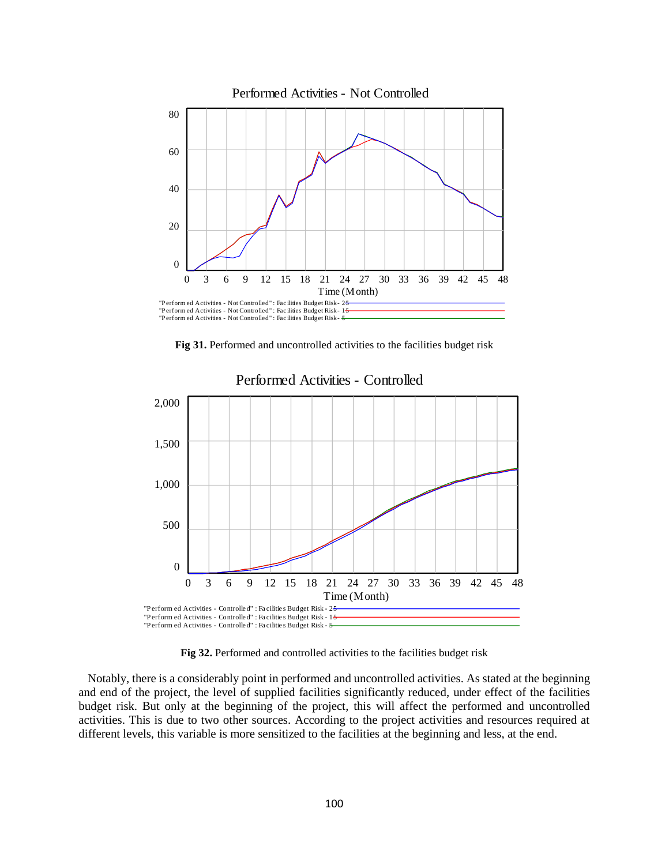

**Fig 31.** Performed and uncontrolled activities to the facilities budget risk



Performed Activities - Controlled

**Fig 32.** Performed and controlled activities to the facilities budget risk

 Notably, there is a considerably point in performed and uncontrolled activities. As stated at the beginning and end of the project, the level of supplied facilities significantly reduced, under effect of the facilities budget risk. But only at the beginning of the project, this will affect the performed and uncontrolled activities. This is due to two other sources. According to the project activities and resources required at different levels, this variable is more sensitized to the facilities at the beginning and less, at the end.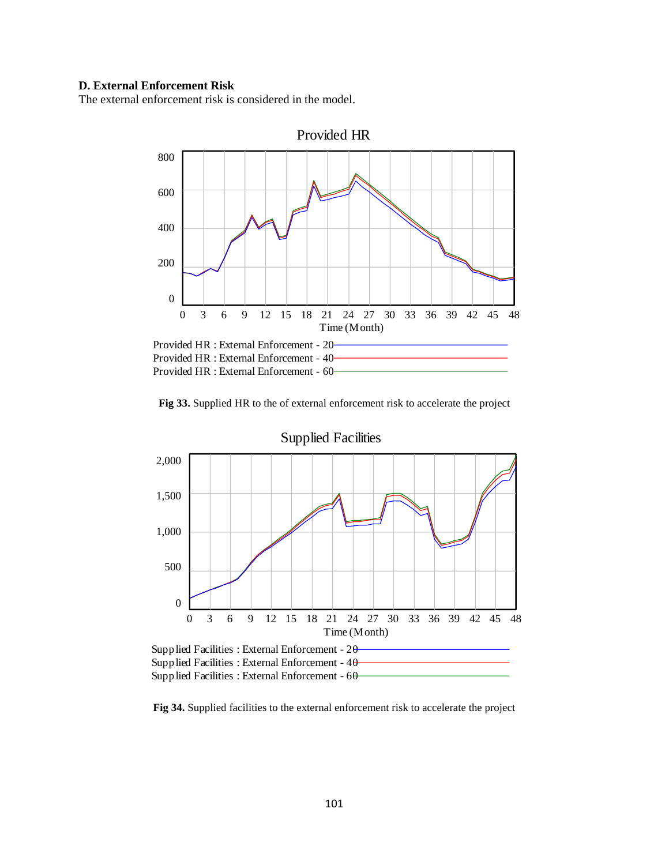## **D. External Enforcement Risk**

The external enforcement risk is considered in the model.



**Fig 33.** Supplied HR to the of external enforcement risk to accelerate the project



**Fig 34.** Supplied facilities to the external enforcement risk to accelerate the project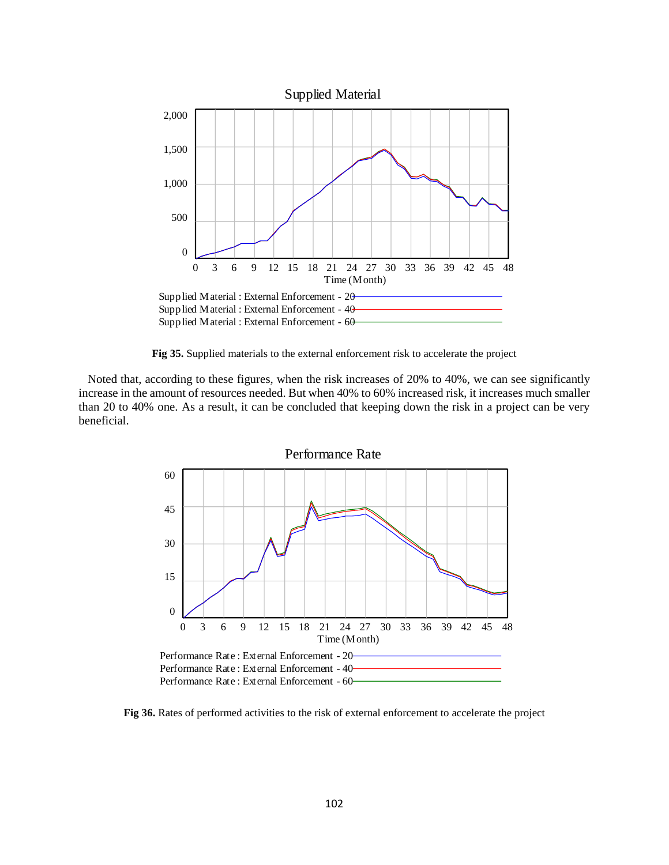

**Fig 35.** Supplied materials to the external enforcement risk to accelerate the project

 Noted that, according to these figures, when the risk increases of 20% to 40%, we can see significantly increase in the amount of resources needed. But when 40% to 60% increased risk, it increases much smaller than 20 to 40% one. As a result, it can be concluded that keeping down the risk in a project can be very beneficial.



**Fig 36.** Rates of performed activities to the risk of external enforcement to accelerate the project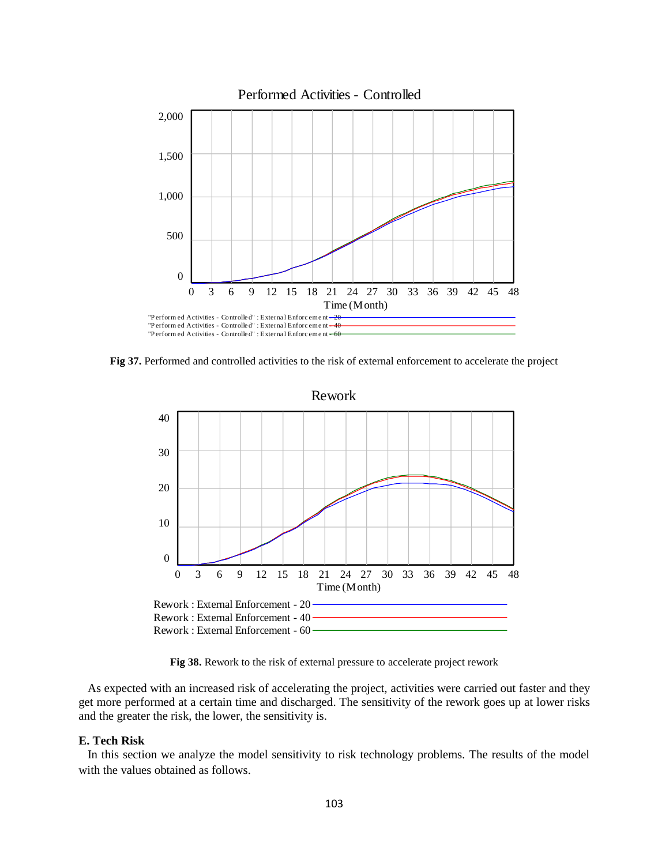

**Fig 37.** Performed and controlled activities to the risk of external enforcement to accelerate the project



**Fig 38.** Rework to the risk of external pressure to accelerate project rework

 As expected with an increased risk of accelerating the project, activities were carried out faster and they get more performed at a certain time and discharged. The sensitivity of the rework goes up at lower risks and the greater the risk, the lower, the sensitivity is.

## **E. Tech Risk**

 In this section we analyze the model sensitivity to risk technology problems. The results of the model with the values obtained as follows.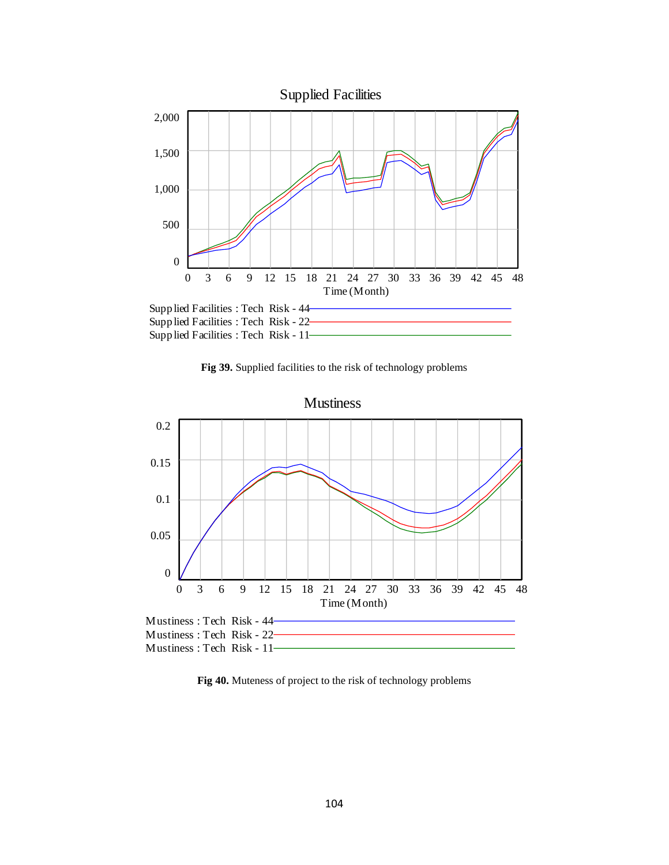

**Fig 39.** Supplied facilities to the risk of technology problems



**Fig 40.** Muteness of project to the risk of technology problems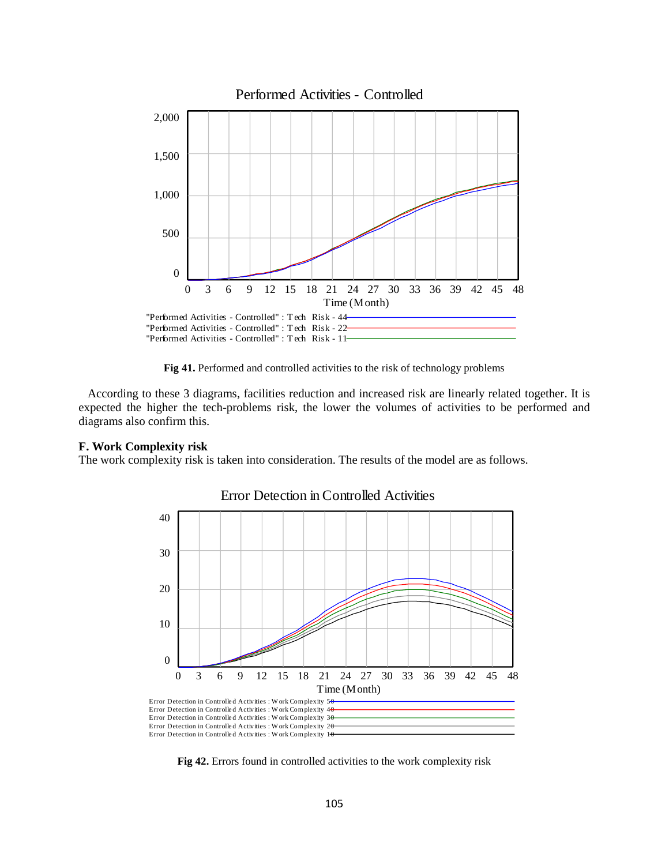

**Fig 41.** Performed and controlled activities to the risk of technology problems

 According to these 3 diagrams, facilities reduction and increased risk are linearly related together. It is expected the higher the tech-problems risk, the lower the volumes of activities to be performed and diagrams also confirm this.

### **F. Work Complexity risk**

The work complexity risk is taken into consideration. The results of the model are as follows.



Error Detection in Controlled Activities

**Fig 42.** Errors found in controlled activities to the work complexity risk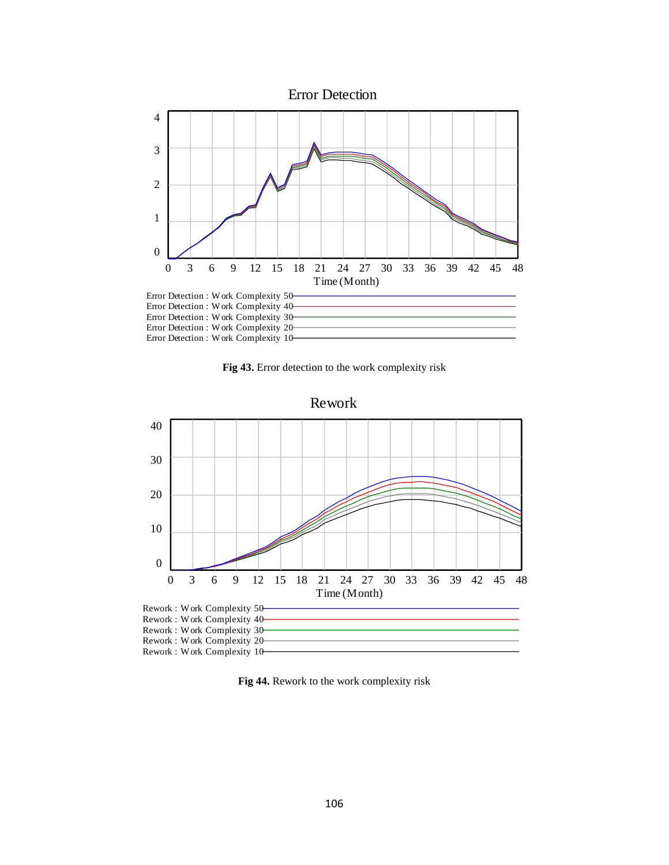

**Fig 43.** Error detection to the work complexity risk



**Fig 44.** Rework to the work complexity risk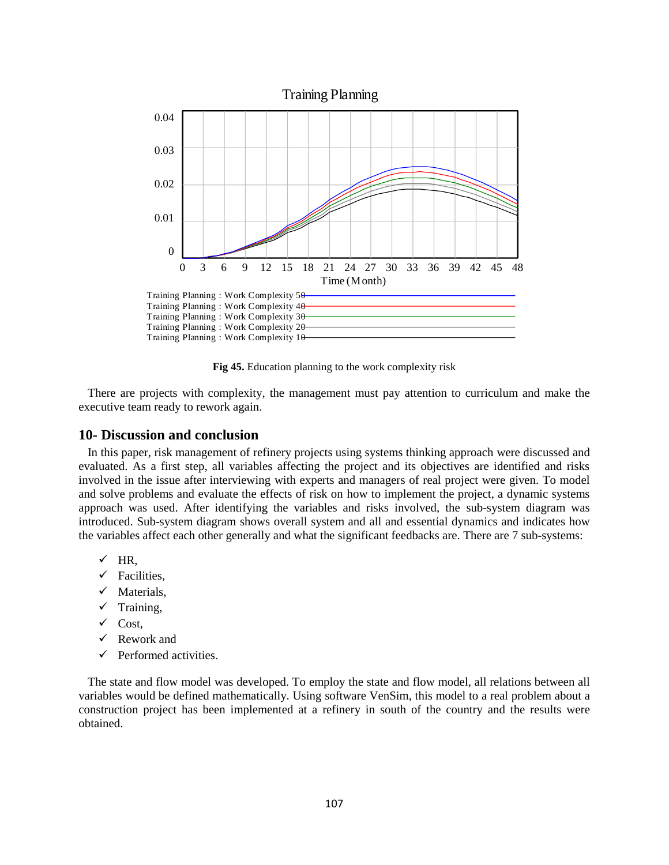

**Fig 45.** Education planning to the work complexity risk

 There are projects with complexity, the management must pay attention to curriculum and make the executive team ready to rework again.

## **10- Discussion and conclusion**

 In this paper, risk management of refinery projects using systems thinking approach were discussed and evaluated. As a first step, all variables affecting the project and its objectives are identified and risks involved in the issue after interviewing with experts and managers of real project were given. To model and solve problems and evaluate the effects of risk on how to implement the project, a dynamic systems approach was used. After identifying the variables and risks involved, the sub-system diagram was introduced. Sub-system diagram shows overall system and all and essential dynamics and indicates how the variables affect each other generally and what the significant feedbacks are. There are 7 sub-systems:

- $\checkmark$  HR,
- $\checkmark$  Facilities.
- $\checkmark$  Materials,
- $\checkmark$  Training,
- $\checkmark$  Cost.
- $\checkmark$  Rework and
- $\checkmark$  Performed activities.

 The state and flow model was developed. To employ the state and flow model, all relations between all variables would be defined mathematically. Using software VenSim, this model to a real problem about a construction project has been implemented at a refinery in south of the country and the results were obtained.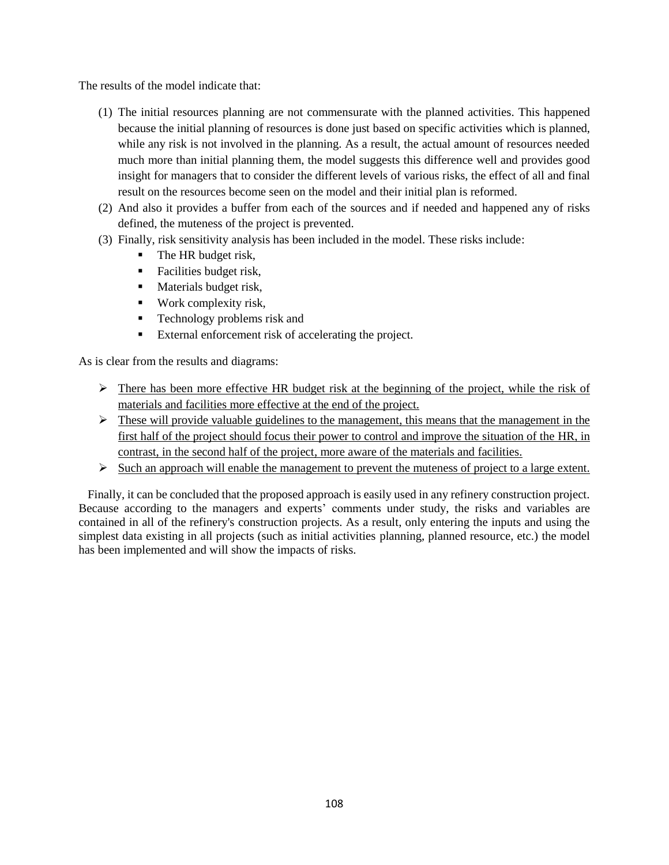The results of the model indicate that:

- (1) The initial resources planning are not commensurate with the planned activities. This happened because the initial planning of resources is done just based on specific activities which is planned, while any risk is not involved in the planning. As a result, the actual amount of resources needed much more than initial planning them, the model suggests this difference well and provides good insight for managers that to consider the different levels of various risks, the effect of all and final result on the resources become seen on the model and their initial plan is reformed.
- (2) And also it provides a buffer from each of the sources and if needed and happened any of risks defined, the muteness of the project is prevented.
- (3) Finally, risk sensitivity analysis has been included in the model. These risks include:
	- $\blacksquare$  The HR budget risk,
	- **Facilities budget risk,**
	- **Materials budget risk,**
	- Work complexity risk,
	- **Technology problems risk and**
	- External enforcement risk of accelerating the project.

As is clear from the results and diagrams:

- $\triangleright$  There has been more effective HR budget risk at the beginning of the project, while the risk of materials and facilities more effective at the end of the project.
- $\triangleright$  These will provide valuable guidelines to the management, this means that the management in the first half of the project should focus their power to control and improve the situation of the HR, in contrast, in the second half of the project, more aware of the materials and facilities.
- Such an approach will enable the management to prevent the muteness of project to a large extent.

 Finally, it can be concluded that the proposed approach is easily used in any refinery construction project. Because according to the managers and experts' comments under study, the risks and variables are contained in all of the refinery's construction projects. As a result, only entering the inputs and using the simplest data existing in all projects (such as initial activities planning, planned resource, etc.) the model has been implemented and will show the impacts of risks.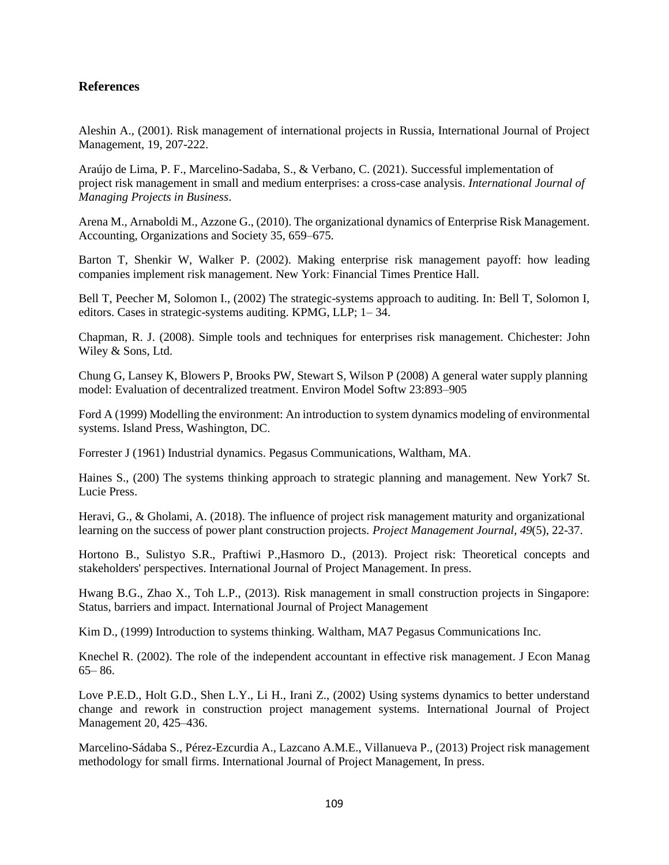## **References**

Aleshin A., (2001). Risk management of international projects in Russia, International Journal of Project Management, 19, 207-222.

Araújo de Lima, P. F., Marcelino-Sadaba, S., & Verbano, C. (2021). Successful implementation of project risk management in small and medium enterprises: a cross-case analysis. *International Journal of Managing Projects in Business*.

Arena M., Arnaboldi M., Azzone G., (2010). The organizational dynamics of Enterprise Risk Management. Accounting, Organizations and Society 35, 659–675.

Barton T, Shenkir W, Walker P. (2002). Making enterprise risk management payoff: how leading companies implement risk management. New York: Financial Times Prentice Hall.

Bell T, Peecher M, Solomon I., (2002) The strategic-systems approach to auditing. In: Bell T, Solomon I, editors. Cases in strategic-systems auditing. KPMG, LLP; 1– 34.

Chapman, R. J. (2008). Simple tools and techniques for enterprises risk management. Chichester: John Wiley & Sons, Ltd.

Chung G, Lansey K, Blowers P, Brooks PW, Stewart S, Wilson P (2008) A general water supply planning model: Evaluation of decentralized treatment. Environ Model Softw 23:893–905

Ford A (1999) Modelling the environment: An introduction to system dynamics modeling of environmental systems. Island Press, Washington, DC.

Forrester J (1961) Industrial dynamics. Pegasus Communications, Waltham, MA.

Haines S., (200) The systems thinking approach to strategic planning and management. New York7 St. Lucie Press.

Heravi, G., & Gholami, A. (2018). The influence of project risk management maturity and organizational learning on the success of power plant construction projects. *Project Management Journal*, *49*(5), 22-37.

Hortono B., Sulistyo S.R., Praftiwi P.,Hasmoro D., (2013). Project risk: Theoretical concepts and stakeholders' perspectives. International Journal of Project Management. In press.

Hwang B.G., Zhao X., Toh L.P., (2013). Risk management in small construction projects in Singapore: Status, barriers and impact. International Journal of Project Management

Kim D., (1999) Introduction to systems thinking. Waltham, MA7 Pegasus Communications Inc.

Knechel R. (2002). The role of the independent accountant in effective risk management. J Econ Manag 65– 86.

Love P.E.D., Holt G.D., Shen L.Y., Li H., Irani Z., (2002) Using systems dynamics to better understand change and rework in construction project management systems. International Journal of Project Management 20, 425–436.

Marcelino-Sádaba S., Pérez-Ezcurdia A., Lazcano A.M.E., Villanueva P., (2013) Project risk management methodology for small firms. International Journal of Project Management, In press.